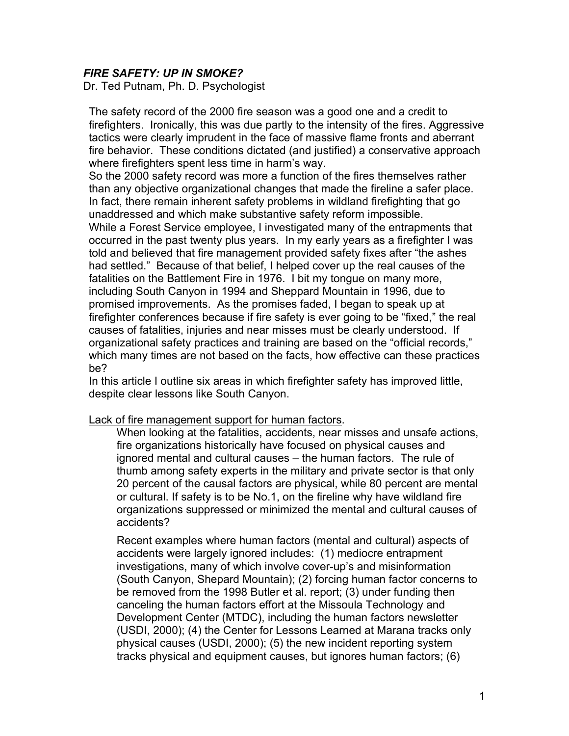## *FIRE SAFETY: UP IN SMOKE?*

Dr. Ted Putnam, Ph. D. Psychologist

The safety record of the 2000 fire season was a good one and a credit to firefighters. Ironically, this was due partly to the intensity of the fires. Aggressive tactics were clearly imprudent in the face of massive flame fronts and aberrant fire behavior. These conditions dictated (and justified) a conservative approach where firefighters spent less time in harm's way.

So the 2000 safety record was more a function of the fires themselves rather than any objective organizational changes that made the fireline a safer place. In fact, there remain inherent safety problems in wildland firefighting that go unaddressed and which make substantive safety reform impossible. While a Forest Service employee, I investigated many of the entrapments that occurred in the past twenty plus years. In my early years as a firefighter I was told and believed that fire management provided safety fixes after "the ashes had settled." Because of that belief, I helped cover up the real causes of the fatalities on the Battlement Fire in 1976. I bit my tongue on many more, including South Canyon in 1994 and Sheppard Mountain in 1996, due to promised improvements. As the promises faded, I began to speak up at firefighter conferences because if fire safety is ever going to be "fixed," the real causes of fatalities, injuries and near misses must be clearly understood. If organizational safety practices and training are based on the "official records," which many times are not based on the facts, how effective can these practices be?

In this article I outline six areas in which firefighter safety has improved little, despite clear lessons like South Canyon.

Lack of fire management support for human factors.

When looking at the fatalities, accidents, near misses and unsafe actions, fire organizations historically have focused on physical causes and ignored mental and cultural causes – the human factors. The rule of thumb among safety experts in the military and private sector is that only 20 percent of the causal factors are physical, while 80 percent are mental or cultural. If safety is to be No.1, on the fireline why have wildland fire organizations suppressed or minimized the mental and cultural causes of accidents?

Recent examples where human factors (mental and cultural) aspects of accidents were largely ignored includes: (1) mediocre entrapment investigations, many of which involve cover-up's and misinformation (South Canyon, Shepard Mountain); (2) forcing human factor concerns to be removed from the 1998 Butler et al. report; (3) under funding then canceling the human factors effort at the Missoula Technology and Development Center (MTDC), including the human factors newsletter (USDI, 2000); (4) the Center for Lessons Learned at Marana tracks only physical causes (USDI, 2000); (5) the new incident reporting system tracks physical and equipment causes, but ignores human factors; (6)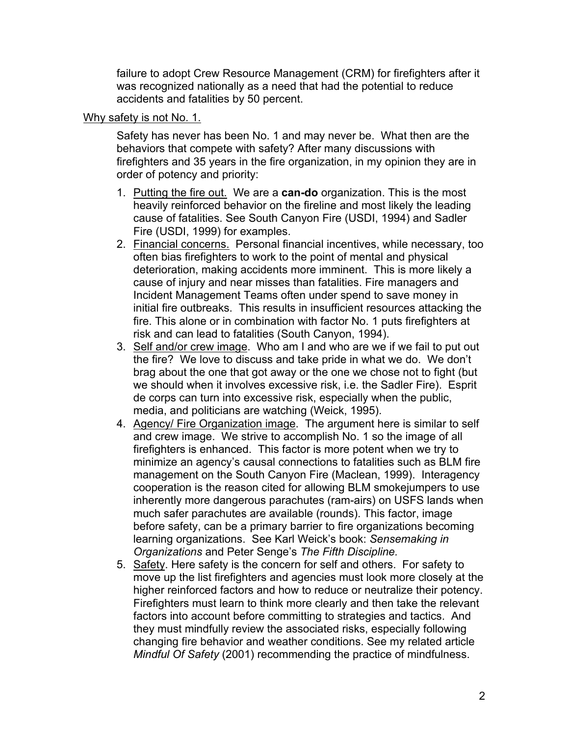failure to adopt Crew Resource Management (CRM) for firefighters after it was recognized nationally as a need that had the potential to reduce accidents and fatalities by 50 percent.

### Why safety is not No. 1.

Safety has never has been No. 1 and may never be. What then are the behaviors that compete with safety? After many discussions with firefighters and 35 years in the fire organization, in my opinion they are in order of potency and priority:

- 1. Putting the fire out. We are a **can-do** organization. This is the most heavily reinforced behavior on the fireline and most likely the leading cause of fatalities. See South Canyon Fire (USDI, 1994) and Sadler Fire (USDI, 1999) for examples.
- 2. Financial concerns. Personal financial incentives, while necessary, too often bias firefighters to work to the point of mental and physical deterioration, making accidents more imminent. This is more likely a cause of injury and near misses than fatalities. Fire managers and Incident Management Teams often under spend to save money in initial fire outbreaks. This results in insufficient resources attacking the fire. This alone or in combination with factor No. 1 puts firefighters at risk and can lead to fatalities (South Canyon, 1994).
- 3. Self and/or crew image. Who am I and who are we if we fail to put out the fire? We love to discuss and take pride in what we do. We don't brag about the one that got away or the one we chose not to fight (but we should when it involves excessive risk, i.e. the Sadler Fire). Esprit de corps can turn into excessive risk, especially when the public, media, and politicians are watching (Weick, 1995).
- 4. Agency/ Fire Organization image. The argument here is similar to self and crew image. We strive to accomplish No. 1 so the image of all firefighters is enhanced. This factor is more potent when we try to minimize an agency's causal connections to fatalities such as BLM fire management on the South Canyon Fire (Maclean, 1999). Interagency cooperation is the reason cited for allowing BLM smokejumpers to use inherently more dangerous parachutes (ram-airs) on USFS lands when much safer parachutes are available (rounds). This factor, image before safety, can be a primary barrier to fire organizations becoming learning organizations. See Karl Weick's book: *Sensemaking in Organizations* and Peter Senge's *The Fifth Discipline.*
- 5. Safety. Here safety is the concern for self and others. For safety to move up the list firefighters and agencies must look more closely at the higher reinforced factors and how to reduce or neutralize their potency. Firefighters must learn to think more clearly and then take the relevant factors into account before committing to strategies and tactics. And they must mindfully review the associated risks, especially following changing fire behavior and weather conditions. See my related article *Mindful Of Safety* (2001) recommending the practice of mindfulness.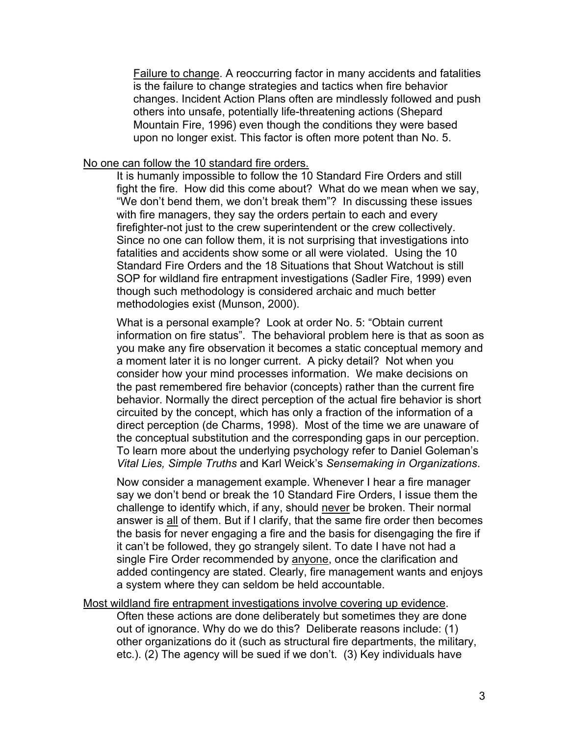Failure to change. A reoccurring factor in many accidents and fatalities is the failure to change strategies and tactics when fire behavior changes. Incident Action Plans often are mindlessly followed and push others into unsafe, potentially life-threatening actions (Shepard Mountain Fire, 1996) even though the conditions they were based upon no longer exist. This factor is often more potent than No. 5.

#### No one can follow the 10 standard fire orders.

It is humanly impossible to follow the 10 Standard Fire Orders and still fight the fire. How did this come about? What do we mean when we say, "We don't bend them, we don't break them"? In discussing these issues with fire managers, they say the orders pertain to each and every firefighter-not just to the crew superintendent or the crew collectively. Since no one can follow them, it is not surprising that investigations into fatalities and accidents show some or all were violated. Using the 10 Standard Fire Orders and the 18 Situations that Shout Watchout is still SOP for wildland fire entrapment investigations (Sadler Fire, 1999) even though such methodology is considered archaic and much better methodologies exist (Munson, 2000).

What is a personal example? Look at order No. 5: "Obtain current information on fire status". The behavioral problem here is that as soon as you make any fire observation it becomes a static conceptual memory and a moment later it is no longer current. A picky detail? Not when you consider how your mind processes information. We make decisions on the past remembered fire behavior (concepts) rather than the current fire behavior. Normally the direct perception of the actual fire behavior is short circuited by the concept, which has only a fraction of the information of a direct perception (de Charms, 1998). Most of the time we are unaware of the conceptual substitution and the corresponding gaps in our perception. To learn more about the underlying psychology refer to Daniel Goleman's *Vital Lies, Simple Truths* and Karl Weick's *Sensemaking in Organizations*.

Now consider a management example. Whenever I hear a fire manager say we don't bend or break the 10 Standard Fire Orders, I issue them the challenge to identify which, if any, should never be broken. Their normal answer is all of them. But if I clarify, that the same fire order then becomes the basis for never engaging a fire and the basis for disengaging the fire if it can't be followed, they go strangely silent. To date I have not had a single Fire Order recommended by anyone, once the clarification and added contingency are stated. Clearly, fire management wants and enjoys a system where they can seldom be held accountable.

Most wildland fire entrapment investigations involve covering up evidence.

Often these actions are done deliberately but sometimes they are done out of ignorance. Why do we do this? Deliberate reasons include: (1) other organizations do it (such as structural fire departments, the military, etc.). (2) The agency will be sued if we don't. (3) Key individuals have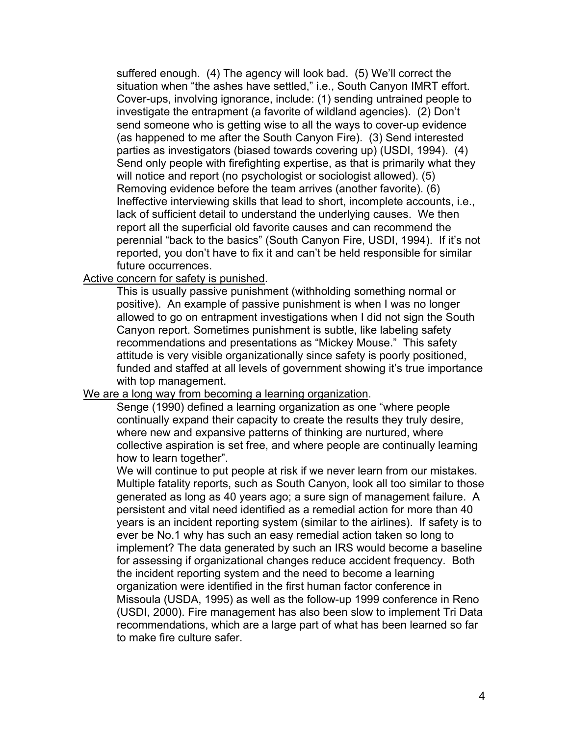suffered enough. (4) The agency will look bad. (5) We'll correct the situation when "the ashes have settled," i.e., South Canyon IMRT effort. Cover-ups, involving ignorance, include: (1) sending untrained people to investigate the entrapment (a favorite of wildland agencies). (2) Don't send someone who is getting wise to all the ways to cover-up evidence (as happened to me after the South Canyon Fire). (3) Send interested parties as investigators (biased towards covering up) (USDI, 1994). (4) Send only people with firefighting expertise, as that is primarily what they will notice and report (no psychologist or sociologist allowed). (5) Removing evidence before the team arrives (another favorite). (6) Ineffective interviewing skills that lead to short, incomplete accounts, i.e., lack of sufficient detail to understand the underlying causes. We then report all the superficial old favorite causes and can recommend the perennial "back to the basics" (South Canyon Fire, USDI, 1994). If it's not reported, you don't have to fix it and can't be held responsible for similar future occurrences.

Active concern for safety is punished.

This is usually passive punishment (withholding something normal or positive). An example of passive punishment is when I was no longer allowed to go on entrapment investigations when I did not sign the South Canyon report. Sometimes punishment is subtle, like labeling safety recommendations and presentations as "Mickey Mouse." This safety attitude is very visible organizationally since safety is poorly positioned, funded and staffed at all levels of government showing it's true importance with top management.

#### We are a long way from becoming a learning organization.

Senge (1990) defined a learning organization as one "where people continually expand their capacity to create the results they truly desire, where new and expansive patterns of thinking are nurtured, where collective aspiration is set free, and where people are continually learning how to learn together".

We will continue to put people at risk if we never learn from our mistakes. Multiple fatality reports, such as South Canyon, look all too similar to those generated as long as 40 years ago; a sure sign of management failure. A persistent and vital need identified as a remedial action for more than 40 years is an incident reporting system (similar to the airlines). If safety is to ever be No.1 why has such an easy remedial action taken so long to implement? The data generated by such an IRS would become a baseline for assessing if organizational changes reduce accident frequency. Both the incident reporting system and the need to become a learning organization were identified in the first human factor conference in Missoula (USDA, 1995) as well as the follow-up 1999 conference in Reno (USDI, 2000). Fire management has also been slow to implement Tri Data recommendations, which are a large part of what has been learned so far to make fire culture safer.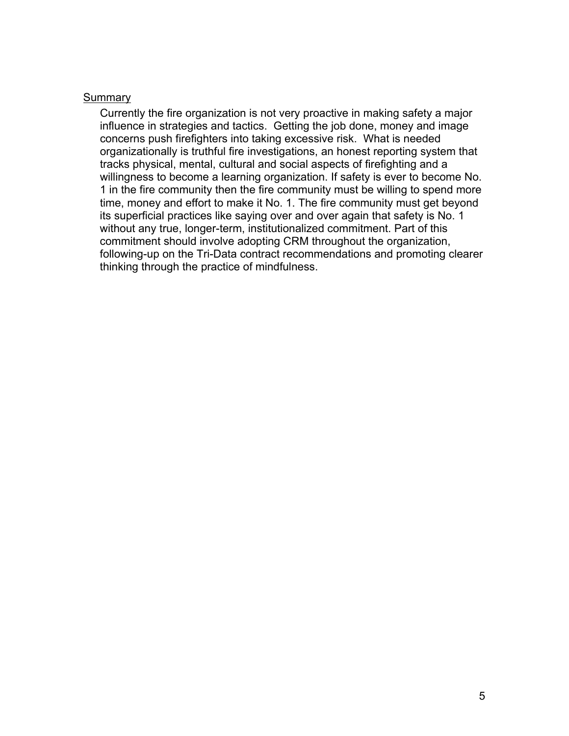#### **Summary**

Currently the fire organization is not very proactive in making safety a major influence in strategies and tactics. Getting the job done, money and image concerns push firefighters into taking excessive risk. What is needed organizationally is truthful fire investigations, an honest reporting system that tracks physical, mental, cultural and social aspects of firefighting and a willingness to become a learning organization. If safety is ever to become No. 1 in the fire community then the fire community must be willing to spend more time, money and effort to make it No. 1. The fire community must get beyond its superficial practices like saying over and over again that safety is No. 1 without any true, longer-term, institutionalized commitment. Part of this commitment should involve adopting CRM throughout the organization, following-up on the Tri-Data contract recommendations and promoting clearer thinking through the practice of mindfulness.